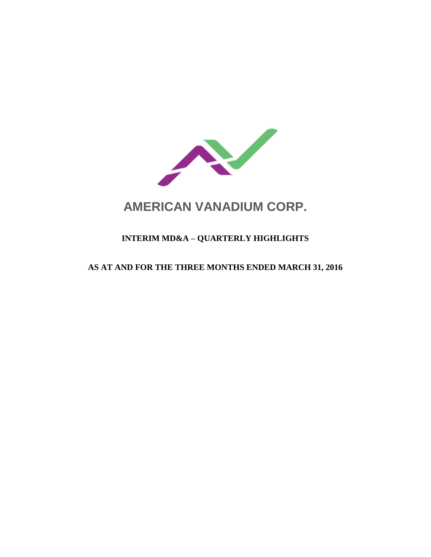

# **AMERICAN VANADIUM CORP.**

# **INTERIM MD&A – QUARTERLY HIGHLIGHTS**

# **AS AT AND FOR THE THREE MONTHS ENDED MARCH 31, 2016**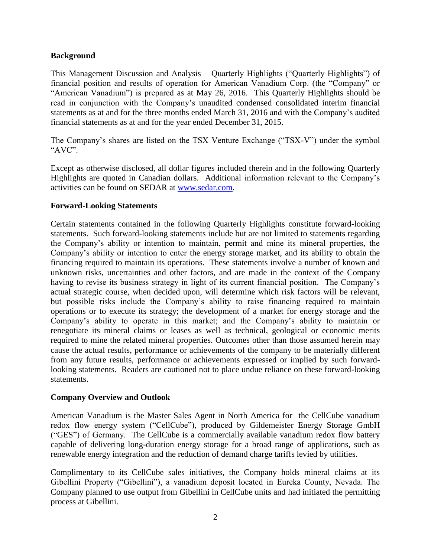#### **Background**

This Management Discussion and Analysis – Quarterly Highlights ("Quarterly Highlights") of financial position and results of operation for American Vanadium Corp. (the "Company" or "American Vanadium") is prepared as at May 26, 2016. This Quarterly Highlights should be read in conjunction with the Company's unaudited condensed consolidated interim financial statements as at and for the three months ended March 31, 2016 and with the Company's audited financial statements as at and for the year ended December 31, 2015.

The Company's shares are listed on the TSX Venture Exchange ("TSX-V") under the symbol "AVC".

Except as otherwise disclosed, all dollar figures included therein and in the following Quarterly Highlights are quoted in Canadian dollars. Additional information relevant to the Company's activities can be found on SEDAR at [www.sedar.com.](http://www.sedar.com/)

#### **Forward-Looking Statements**

Certain statements contained in the following Quarterly Highlights constitute forward-looking statements. Such forward-looking statements include but are not limited to statements regarding the Company's ability or intention to maintain, permit and mine its mineral properties, the Company's ability or intention to enter the energy storage market, and its ability to obtain the financing required to maintain its operations. These statements involve a number of known and unknown risks, uncertainties and other factors, and are made in the context of the Company having to revise its business strategy in light of its current financial position. The Company's actual strategic course, when decided upon, will determine which risk factors will be relevant, but possible risks include the Company's ability to raise financing required to maintain operations or to execute its strategy; the development of a market for energy storage and the Company's ability to operate in this market; and the Company's ability to maintain or renegotiate its mineral claims or leases as well as technical, geological or economic merits required to mine the related mineral properties. Outcomes other than those assumed herein may cause the actual results, performance or achievements of the company to be materially different from any future results, performance or achievements expressed or implied by such forwardlooking statements. Readers are cautioned not to place undue reliance on these forward-looking statements.

#### **Company Overview and Outlook**

American Vanadium is the Master Sales Agent in North America for the CellCube vanadium redox flow energy system ("CellCube"), produced by Gildemeister Energy Storage GmbH ("GES") of Germany. The CellCube is a commercially available vanadium redox flow battery capable of delivering long-duration energy storage for a broad range of applications, such as renewable energy integration and the reduction of demand charge tariffs levied by utilities.

Complimentary to its CellCube sales initiatives, the Company holds mineral claims at its Gibellini Property ("Gibellini"), a vanadium deposit located in Eureka County, Nevada. The Company planned to use output from Gibellini in CellCube units and had initiated the permitting process at Gibellini.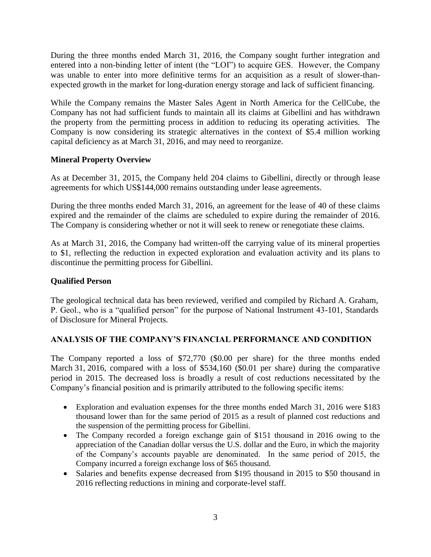During the three months ended March 31, 2016, the Company sought further integration and entered into a non-binding letter of intent (the "LOI") to acquire GES. However, the Company was unable to enter into more definitive terms for an acquisition as a result of slower-thanexpected growth in the market for long-duration energy storage and lack of sufficient financing.

While the Company remains the Master Sales Agent in North America for the CellCube, the Company has not had sufficient funds to maintain all its claims at Gibellini and has withdrawn the property from the permitting process in addition to reducing its operating activities. The Company is now considering its strategic alternatives in the context of \$5.4 million working capital deficiency as at March 31, 2016, and may need to reorganize.

## **Mineral Property Overview**

As at December 31, 2015, the Company held 204 claims to Gibellini, directly or through lease agreements for which US\$144,000 remains outstanding under lease agreements.

During the three months ended March 31, 2016, an agreement for the lease of 40 of these claims expired and the remainder of the claims are scheduled to expire during the remainder of 2016. The Company is considering whether or not it will seek to renew or renegotiate these claims.

As at March 31, 2016, the Company had written-off the carrying value of its mineral properties to \$1, reflecting the reduction in expected exploration and evaluation activity and its plans to discontinue the permitting process for Gibellini.

## **Qualified Person**

The geological technical data has been reviewed, verified and compiled by Richard A. Graham, P. Geol., who is a "qualified person" for the purpose of National Instrument 43-101, Standards of Disclosure for Mineral Projects.

## **ANALYSIS OF THE COMPANY'S FINANCIAL PERFORMANCE AND CONDITION**

The Company reported a loss of \$72,770 (\$0.00 per share) for the three months ended March 31, 2016, compared with a loss of \$534,160 (\$0.01 per share) during the comparative period in 2015. The decreased loss is broadly a result of cost reductions necessitated by the Company's financial position and is primarily attributed to the following specific items:

- Exploration and evaluation expenses for the three months ended March 31, 2016 were \$183 thousand lower than for the same period of 2015 as a result of planned cost reductions and the suspension of the permitting process for Gibellini.
- The Company recorded a foreign exchange gain of \$151 thousand in 2016 owing to the appreciation of the Canadian dollar versus the U.S. dollar and the Euro, in which the majority of the Company's accounts payable are denominated. In the same period of 2015, the Company incurred a foreign exchange loss of \$65 thousand.
- Salaries and benefits expense decreased from \$195 thousand in 2015 to \$50 thousand in 2016 reflecting reductions in mining and corporate-level staff.